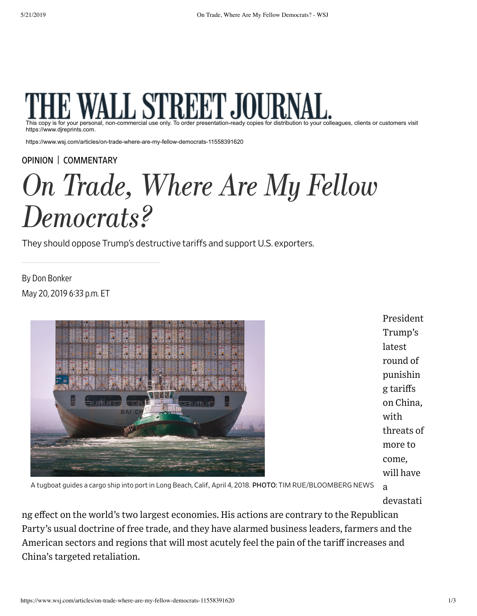

This copy is for your personal, non-commercial use only. To order presentation-ready copies for distribution to your colleagues, clients or customers visit https://www.djreprints.com.

https://www.wsj.com/articles/on-trade-where-are-my-fellow-democrats-11558391620

[OPINION](https://www.wsj.com/news/opinion) | [COMMENTARY](https://www.wsj.com/news/types/commentary-u-s)

# On Trade, Where Are My Fellow Democrats?

They should oppose Trump's destructive tariffs and support U.S. exporters.

May 20, 2019 633 p.m. ET By Don Bonker



President Trump's latest round of punishin g tariffs on China, with threats of more to come, will have a

A tugboat guides a cargo ship into port in Long Beach, Calif., April 4, 2018. PHOTO: TIM RUE/BLOOMBERG NEWS

devastati

ng effect on the world's two largest economies. His actions are contrary to the Republican Party's usual doctrine of free trade, and they have alarmed business leaders, farmers and the American sectors and regions that will most acutely feel the pain of the tariff increases and China's targeted retaliation.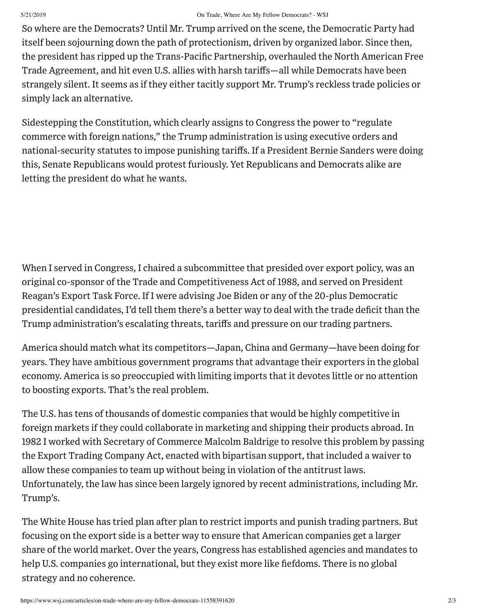# 5/21/2019 On Trade, Where Are My Fellow Democrats? - WSJ

So where are the Democrats? Until Mr. Trump arrived on the scene, the Democratic Party had itself been sojourning down the path of protectionism, driven by organized labor. Since then, the president has ripped up the Trans-Pacific Partnership, overhauled the North American Free Trade Agreement, and hit even U.S. allies with harsh tariffs—all while Democrats have been strangely silent. It seems as if they either tacitly support Mr. Trump's reckless trade policies or simply lack an alternative.

Sidestepping the Constitution, which clearly assigns to Congress the power to "regulate commerce with foreign nations," the Trump administration is using executive orders and national-security statutes to impose punishing tariffs. If a President Bernie Sanders were doing this, Senate Republicans would protest furiously. Yet Republicans and Democrats alike are letting the president do what he wants.

When I served in Congress, I chaired a subcommittee that presided over export policy, was an original co-sponsor of the Trade and Competitiveness Act of 1988, and served on President Reagan's Export Task Force. If I were advising Joe Biden or any of the 20-plus Democratic presidential candidates, I'd tell them there's a better way to deal with the trade deficit than the Trump administration's escalating threats, tariffs and pressure on our trading partners.

America should match what its competitors—Japan, China and Germany—have been doing for years. They have ambitious government programs that advantage their exporters in the global economy. America is so preoccupied with limiting imports that it devotes little or no attention to boosting exports. That's the real problem.

The U.S. has tens of thousands of domestic companies that would be highly competitive in foreign markets if they could collaborate in marketing and shipping their products abroad. In 1982 I worked with Secretary of Commerce Malcolm Baldrige to resolve this problem by passing the Export Trading Company Act, enacted with bipartisan support, that included a waiver to allow these companies to team up without being in violation of the antitrust laws. Unfortunately, the law has since been largely ignored by recent administrations, including Mr. Trump's.

The White House has tried plan after plan to restrict imports and punish trading partners. But focusing on the export side is a better way to ensure that American companies get a larger share of the world market. Over the years, Congress has established agencies and mandates to help U.S. companies go international, but they exist more like fiefdoms. There is no global strategy and no coherence.